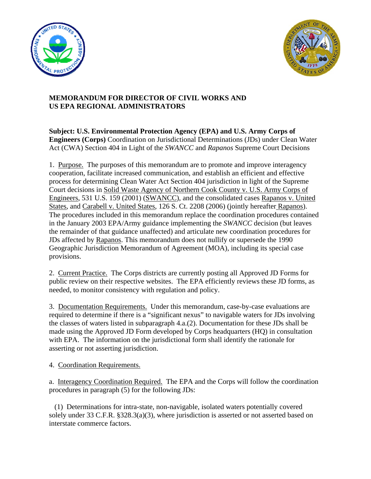



## **MEMORANDUM FOR DIRECTOR OF CIVIL WORKS AND US EPA REGIONAL ADMINISTRATORS**

**Subject: U.S. Environmental Protection Agency (EPA) and U.S. Army Corps of Engineers (Corps)** Coordination on Jurisdictional Determinations (JDs) under Clean Water Act (CWA) Section 404 in Light of the *SWANCC* and *Rapanos* Supreme Court Decisions

1. Purpose. The purposes of this memorandum are to promote and improve interagency cooperation, facilitate increased communication, and establish an efficient and effective process for determining Clean Water Act Section 404 jurisdiction in light of the Supreme Court decisions in Solid Waste Agency of Northern Cook County v. U.S. Army Corps of Engineers, 531 U.S. 159 (2001) (SWANCC), and the consolidated cases Rapanos v. United States, and Carabell v. United States, 126 S. Ct. 2208 (2006) (jointly hereafter Rapanos). The procedures included in this memorandum replace the coordination procedures contained in the January 2003 EPA/Army guidance implementing the *SWANCC* decision (but leaves the remainder of that guidance unaffected) and articulate new coordination procedures for JDs affected by Rapanos. This memorandum does not nullify or supersede the 1990 Geographic Jurisdiction Memorandum of Agreement (MOA), including its special case provisions.

2. Current Practice. The Corps districts are currently posting all Approved JD Forms for public review on their respective websites. The EPA efficiently reviews these JD forms, as needed, to monitor consistency with regulation and policy.

3. Documentation Requirements. Under this memorandum, case-by-case evaluations are required to determine if there is a "significant nexus" to navigable waters for JDs involving the classes of waters listed in subparagraph 4.a.(2). Documentation for these JDs shall be made using the Approved JD Form developed by Corps headquarters (HQ) in consultation with EPA. The information on the jurisdictional form shall identify the rationale for asserting or not asserting jurisdiction.

4. Coordination Requirements.

a. Interagency Coordination Required. The EPA and the Corps will follow the coordination procedures in paragraph (5) for the following JDs:

 (1) Determinations for intra-state, non-navigable, isolated waters potentially covered solely under 33 C.F.R. §328.3(a)(3), where jurisdiction is asserted or not asserted based on interstate commerce factors.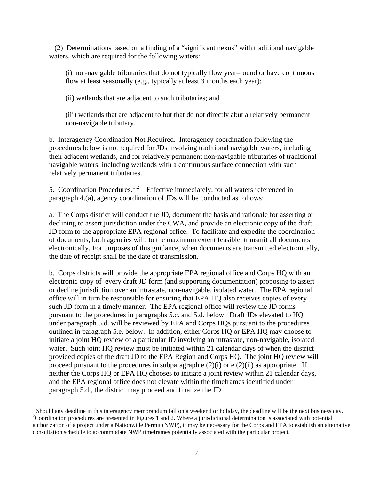(2) Determinations based on a finding of a "significant nexus" with traditional navigable waters, which are required for the following waters:

(i) non-navigable tributaries that do not typically flow year–round or have continuous flow at least seasonally (e.g., typically at least 3 months each year);

(ii) wetlands that are adjacent to such tributaries; and

(iii) wetlands that are adjacent to but that do not directly abut a relatively permanent non-navigable tributary.

b. Interagency Coordination Not Required. Interagency coordination following the procedures below is not required for JDs involving traditional navigable waters, including their adjacent wetlands, and for relatively permanent non-navigable tributaries of traditional navigable waters, including wetlands with a continuous surface connection with such relatively permanent tributaries.

5. Coordination Procedures.<sup>[1](#page-1-0),[2](#page-1-1)</sup> Effective immediately, for all waters referenced in paragraph 4.(a), agency coordination of JDs will be conducted as follows:

a. The Corps district will conduct the JD, document the basis and rationale for asserting or declining to assert jurisdiction under the CWA, and provide an electronic copy of the draft JD form to the appropriate EPA regional office. To facilitate and expedite the coordination of documents, both agencies will, to the maximum extent feasible, transmit all documents electronically. For purposes of this guidance, when documents are transmitted electronically, the date of receipt shall be the date of transmission.

b. Corps districts will provide the appropriate EPA regional office and Corps HQ with an electronic copy of every draft JD form (and supporting documentation) proposing to assert or decline jurisdiction over an intrastate, non-navigable, isolated water. The EPA regional office will in turn be responsible for ensuring that EPA HQ also receives copies of every such JD form in a timely manner. The EPA regional office will review the JD forms pursuant to the procedures in paragraphs 5.c. and 5.d. below. Draft JDs elevated to HQ under paragraph 5.d. will be reviewed by EPA and Corps HQs pursuant to the procedures outlined in paragraph 5.e. below. In addition, either Corps HQ or EPA HQ may choose to initiate a joint HQ review of a particular JD involving an intrastate, non-navigable, isolated water. Such joint HQ review must be initiated within 21 calendar days of when the district provided copies of the draft JD to the EPA Region and Corps HQ. The joint HQ review will proceed pursuant to the procedures in subparagraph  $e(2)(i)$  or  $e(2)(ii)$  as appropriate. If neither the Corps HQ or EPA HQ chooses to initiate a joint review within 21 calendar days, and the EPA regional office does not elevate within the timeframes identified under paragraph 5.d., the district may proceed and finalize the JD.

 $\overline{a}$ 

<span id="page-1-1"></span><span id="page-1-0"></span><sup>&</sup>lt;sup>1</sup> Should any deadline in this interagency memorandum fall on a weekend or holiday, the deadline will be the next business day.  $2$ Coordination procedures are presented in Figures 1 and 2. Where a jurisdictional determination is associated with potential authorization of a project under a Nationwide Permit (NWP), it may be necessary for the Corps and EPA to establish an alternative consultation schedule to accommodate NWP timeframes potentially associated with the particular project.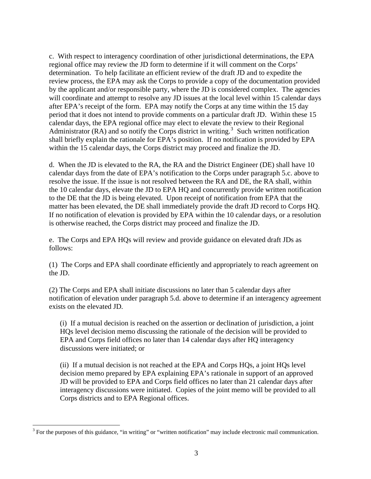c. With respect to interagency coordination of other jurisdictional determinations, the EPA regional office may review the JD form to determine if it will comment on the Corps' determination. To help facilitate an efficient review of the draft JD and to expedite the review process, the EPA may ask the Corps to provide a copy of the documentation provided by the applicant and/or responsible party, where the JD is considered complex. The agencies will coordinate and attempt to resolve any JD issues at the local level within 15 calendar days after EPA's receipt of the form. EPA may notify the Corps at any time within the 15 day period that it does not intend to provide comments on a particular draft JD. Within these 15 calendar days, the EPA regional office may elect to elevate the review to their Regional Administrator (RA) and so notify the Corps district in writing.<sup>[3](#page-2-0)</sup> Such written notification shall briefly explain the rationale for EPA's position. If no notification is provided by EPA within the 15 calendar days, the Corps district may proceed and finalize the JD.

d. When the JD is elevated to the RA, the RA and the District Engineer (DE) shall have 10 calendar days from the date of EPA's notification to the Corps under paragraph 5.c. above to resolve the issue. If the issue is not resolved between the RA and DE, the RA shall, within the 10 calendar days, elevate the JD to EPA HQ and concurrently provide written notification to the DE that the JD is being elevated. Upon receipt of notification from EPA that the matter has been elevated, the DE shall immediately provide the draft JD record to Corps HQ. If no notification of elevation is provided by EPA within the 10 calendar days, or a resolution is otherwise reached, the Corps district may proceed and finalize the JD.

e. The Corps and EPA HQs will review and provide guidance on elevated draft JDs as follows:

(1) The Corps and EPA shall coordinate efficiently and appropriately to reach agreement on the JD.

(2) The Corps and EPA shall initiate discussions no later than 5 calendar days after notification of elevation under paragraph 5.d. above to determine if an interagency agreement exists on the elevated JD.

 (i) If a mutual decision is reached on the assertion or declination of jurisdiction, a joint HQs level decision memo discussing the rationale of the decision will be provided to EPA and Corps field offices no later than 14 calendar days after HQ interagency discussions were initiated; or

 (ii) If a mutual decision is not reached at the EPA and Corps HQs, a joint HQs level decision memo prepared by EPA explaining EPA's rationale in support of an approved JD will be provided to EPA and Corps field offices no later than 21 calendar days after interagency discussions were initiated. Copies of the joint memo will be provided to all Corps districts and to EPA Regional offices.

 $\overline{a}$ 

<span id="page-2-0"></span> $3$  For the purposes of this guidance, "in writing" or "written notification" may include electronic mail communication.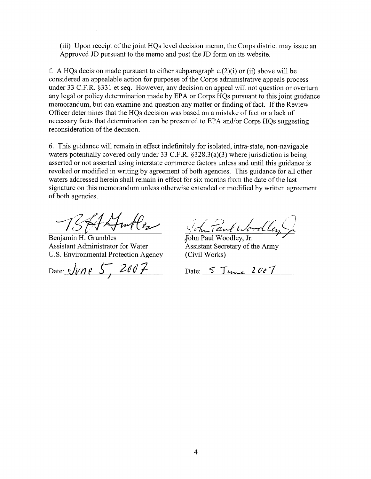(iii) Upon receipt of the joint HQs level decision memo, the Corps district may issue an Approved JD pursuant to the memo and post the JD form on its website.

f. A HQs decision made pursuant to either subparagraph  $e(2)(i)$  or (ii) above will be considered an appealable action for purposes of the Corps administrative appeals process under 33 C.F.R. §331 et seq. However, any decision on appeal will not question or overturn any legal or policy determination made by EPA or Corps HQs pursuant to this joint guidance memorandum, but can examine and question any matter or finding of fact. If the Review Officer determines that the HQs decision was based on a mistake of fact or a lack of necessary facts that determination can be presented to EPA and/or Corps HOs suggesting reconsideration of the decision.

6. This guidance will remain in effect indefinitely for isolated, intra-state, non-navigable waters potentially covered only under 33 C.F.R.  $\S 328.3(a)(3)$  where jurisdiction is being asserted or not asserted using interstate commerce factors unless and until this guidance is revoked or modified in writing by agreement of both agencies. This guidance for all other waters addressed herein shall remain in effect for six months from the date of the last signature on this memorandum unless otherwise extended or modified by written agreement of both agencies.

75ASmles

Benjamin H. Grumbles Assistant Administrator for Water U.S. Environmental Protection Agency

Date: *Jvne* 5,

John Paul Woodley

John Paul Woodley, Jr. Assistant Secretary of the Army (Civil Works)

Date: 5 June 2007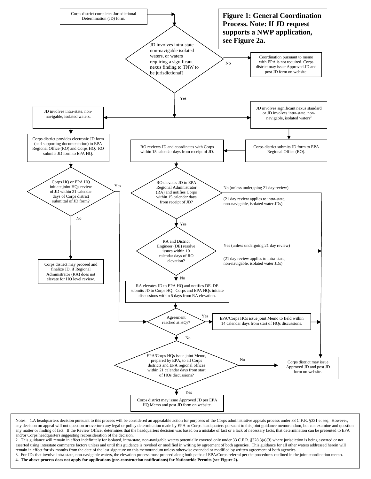

Notes: 1.A headquarters decision pursuant to this process will be considered an appealable action for purposes of the Corps administrative appeals process under 33 C.F.R. §331 et seq. However, any decision on appeal will not question or overturn any legal or policy determination made by EPA or Corps headquarters pursuant to this joint guidance memorandum, but can examine and question any matter or finding of fact. If the Review Officer determines that the headquarters decision was based on a mistake of fact or a lack of necessary facts, that determination can be presented to EPA and/or Corps headquarters suggesting reconsideration of the decision.

2. This guidance will remain in effect indefinitely for isolated, intra-state, non-navigable waters potentially covered only under 33 C.F.R. §328.3(a)(3) where jurisdiction is being asserted or not asserted using interstate commerce factors unless and until this guidance is revoked or modified in writing by agreement of both agencies. This guidance for all other waters addressed herein will remain in effect for six months from the date of the last signature on this memorandum unless otherwise extended or modified by written agreement of both agencies.

remain in errect for six months from the tate of the ast signature of units memorantum unless onlet wise extended or mounted by written agreement of bour agencies.<br>3. For JDs that involve intra-state, non-navigable waters, **4. The above process does not apply for applications (pre-construction notifications) for Nationwide Permits (see Figure 2).**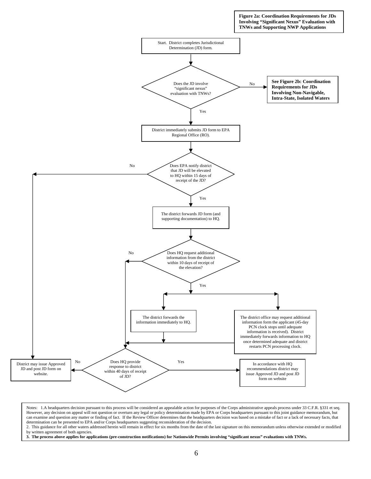

Notes: 1.A headquarters decision pursuant to this process will be considered an appealable action for purposes of the Corps administrative appeals process under 33 C.F.R. §331 et seq. However, any decision on appeal will not question or overturn any legal or policy determination made by EPA or Corps headquarters pursuant to this joint guidance memorandum, but can examine and question any matter or finding of fact. If the Review Officer determines that the headquarters decision was based on a mistake of fact or a lack of necessary facts, that determination can be presented to EPA and/or Corps headquarters suggesting reconsideration of the decision.

2. This guidance for all other waters addressed herein will remain in effect for six months from the date of the last signature on this memorandum unless otherwise extended or modified by written agreement of both agencies.

**3. The process above applies for applications (pre-construction notifications) for Nationwide Permits involving "significant nexus" evaluations with TNWs.**